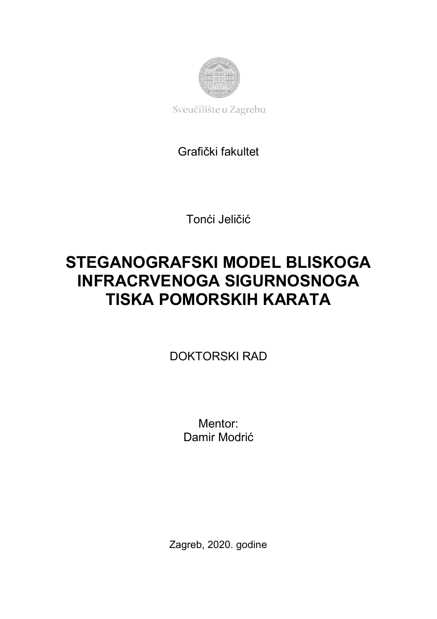

Sveučilište u Zagrebu

# Grafički fakultet

Tonći Jeličić

# **STEGANOGRAFSKI MODEL BLISKOGA INFRACRVENOGA SIGURNOSNOGA TISKA POMORSKIH KARATA**

DOKTORSKI RAD

Mentor: Damir Modrić

Zagreb, 2020. godine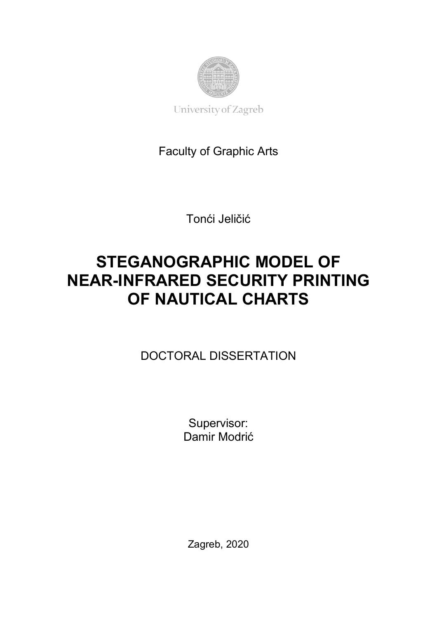

University of Zagreb

# Faculty of Graphic Arts

Tonći Jeličić

# **STEGANOGRAPHIC MODEL OF NEAR-INFRARED SECURITY PRINTING OF NAUTICAL CHARTS**

DOCTORAL DISSERTATION

Supervisor: Damir Modrić

Zagreb, 2020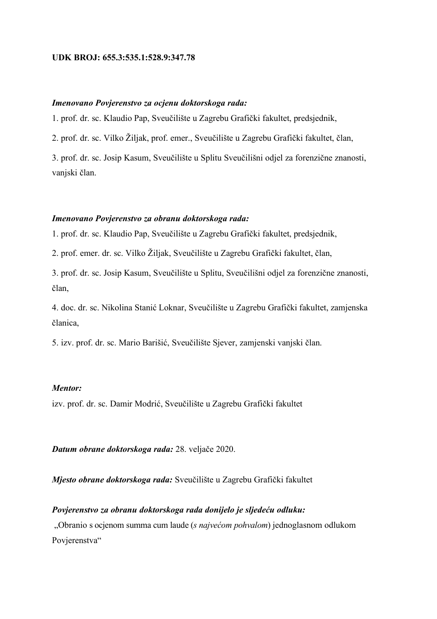#### **UDK BROJ: 655.3:535.1:528.9:347.78**

# *Imenovano Povjerenstvo za ocjenu doktorskoga rada:*

1. prof. dr. sc. Klaudio Pap, Sveučilište u Zagrebu Grafički fakultet, predsjednik,

2. prof. dr. sc. Vilko Žiljak, prof. emer., Sveučilište u Zagrebu Grafički fakultet, član,

3. prof. dr. sc. Josip Kasum, Sveučilište u Splitu Sveučilišni odjel za forenzične znanosti, vanjski član.

#### *Imenovano Povjerenstvo za obranu doktorskoga rada:*

1. prof. dr. sc. Klaudio Pap, Sveučilište u Zagrebu Grafički fakultet, predsjednik,

2. prof. emer. dr. sc. Vilko Žiljak, Sveučilište u Zagrebu Grafički fakultet, član,

3. prof. dr. sc. Josip Kasum, Sveučilište u Splitu, Sveučilišni odjel za forenzične znanosti, član,

4. doc. dr. sc. Nikolina Stanić Loknar, Sveučilište u Zagrebu Grafički fakultet, zamjenska članica,

5. izv. prof. dr. sc. Mario Barišić, Sveučilište Sjever, zamjenski vanjski član.

### *Mentor:*

izv. prof. dr. sc. Damir Modrić, Sveučilište u Zagrebu Grafički fakultet

*Datum obrane doktorskoga rada:* 28. veljače 2020.

*Mjesto obrane doktorskoga rada:* Sveučilište u Zagrebu Grafički fakultet

# *Povjerenstvo za obranu doktorskoga rada donijelo je sljedeću odluku:*

"Obranio s ocjenom summa cum laude (*s najvećom pohvalom*) jednoglasnom odlukom Povjerenstva"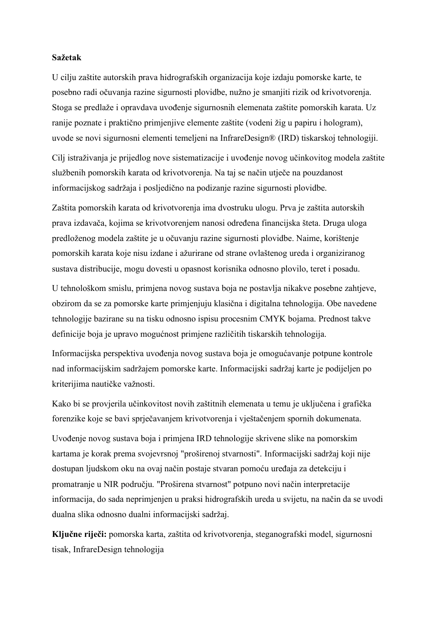#### **Sažetak**

U cilju zaštite autorskih prava hidrografskih organizacija koje izdaju pomorske karte, te posebno radi očuvanja razine sigurnosti plovidbe, nužno je smanjiti rizik od krivotvorenja. Stoga se predlaže i opravdava uvođenje sigurnosnih elemenata zaštite pomorskih karata. Uz ranije poznate i praktično primjenjive elemente zaštite (vodeni žig u papiru i hologram), uvode se novi sigurnosni elementi temeljeni na InfrareDesign® (IRD) tiskarskoj tehnologiji.

Cilj istraživanja je prijedlog nove sistematizacije i uvođenje novog učinkovitog modela zaštite službenih pomorskih karata od krivotvorenja. Na taj se način utječe na pouzdanost informacijskog sadržaja i posljedično na podizanje razine sigurnosti plovidbe.

Zaštita pomorskih karata od krivotvorenja ima dvostruku ulogu. Prva je zaštita autorskih prava izdavača, kojima se krivotvorenjem nanosi određena financijska šteta. Druga uloga predloženog modela zaštite je u očuvanju razine sigurnosti plovidbe. Naime, korištenje pomorskih karata koje nisu izdane i ažurirane od strane ovlaštenog ureda i organiziranog sustava distribucije, mogu dovesti u opasnost korisnika odnosno plovilo, teret i posadu.

U tehnološkom smislu, primjena novog sustava boja ne postavlja nikakve posebne zahtjeve, obzirom da se za pomorske karte primjenjuju klasična i digitalna tehnologija. Obe navedene tehnologije bazirane su na tisku odnosno ispisu procesnim CMYK bojama. Prednost takve definicije boja je upravo mogućnost primjene različitih tiskarskih tehnologija.

Informacijska perspektiva uvođenja novog sustava boja je omogućavanje potpune kontrole nad informacijskim sadržajem pomorske karte. Informacijski sadržaj karte je podijeljen po kriterijima nautičke važnosti.

Kako bi se provjerila učinkovitost novih zaštitnih elemenata u temu je uključena i grafička forenzike koje se bavi sprječavanjem krivotvorenja i vještačenjem spornih dokumenata.

Uvođenje novog sustava boja i primjena IRD tehnologije skrivene slike na pomorskim kartama je korak prema svojevrsnoj "proširenoj stvarnosti". Informacijski sadržaj koji nije dostupan ljudskom oku na ovaj način postaje stvaran pomoću uređaja za detekciju i promatranje u NIR području. "Proširena stvarnost" potpuno novi način interpretacije informacija, do sada neprimjenjen u praksi hidrografskih ureda u svijetu, na način da se uvodi dualna slika odnosno dualni informacijski sadržaj.

**Ključne riječi:** pomorska karta, zaštita od krivotvorenja, steganografski model, sigurnosni tisak, InfrareDesign tehnologija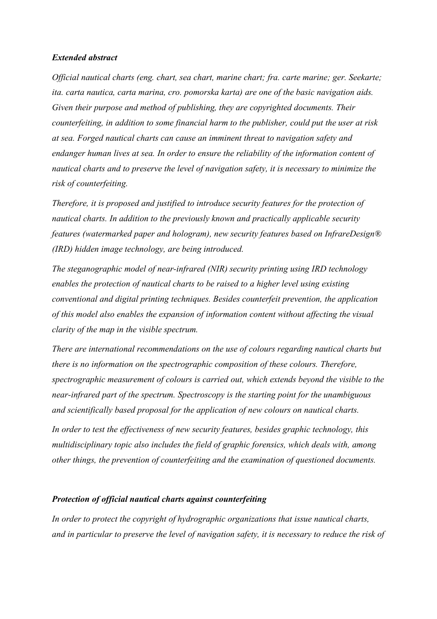### *Extended abstract*

*Official nautical charts (eng. chart, sea chart, marine chart; fra. carte marine; ger. Seekarte; ita. carta nautica, carta marina, cro. pomorska karta) are one of the basic navigation aids. Given their purpose and method of publishing, they are copyrighted documents. Their counterfeiting, in addition to some financial harm to the publisher, could put the user at risk at sea. Forged nautical charts can cause an imminent threat to navigation safety and endanger human lives at sea. In order to ensure the reliability of the information content of nautical charts and to preserve the level of navigation safety, it is necessary to minimize the risk of counterfeiting.*

*Therefore, it is proposed and justified to introduce security features for the protection of nautical charts. In addition to the previously known and practically applicable security features (watermarked paper and hologram), new security features based on InfrareDesign® (IRD) hidden image technology, are being introduced.*

*The steganographic model of near-infrared (NIR) security printing using IRD technology enables the protection of nautical charts to be raised to a higher level using existing conventional and digital printing techniques. Besides counterfeit prevention, the application of this model also enables the expansion of information content without affecting the visual clarity of the map in the visible spectrum.*

*There are international recommendations on the use of colours regarding nautical charts but there is no information on the spectrographic composition of these colours. Therefore, spectrographic measurement of colours is carried out, which extends beyond the visible to the near-infrared part of the spectrum. Spectroscopy is the starting point for the unambiguous and scientifically based proposal for the application of new colours on nautical charts.*

*In order to test the effectiveness of new security features, besides graphic technology, this multidisciplinary topic also includes the field of graphic forensics, which deals with, among other things, the prevention of counterfeiting and the examination of questioned documents.*

#### *Protection of official nautical charts against counterfeiting*

*In order to protect the copyright of hydrographic organizations that issue nautical charts, and in particular to preserve the level of navigation safety, it is necessary to reduce the risk of*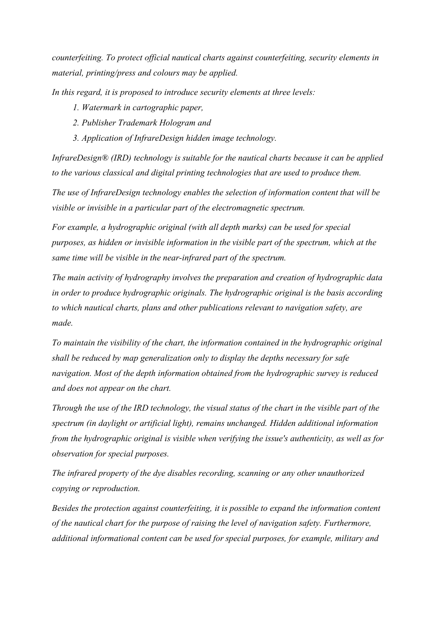*counterfeiting. To protect official nautical charts against counterfeiting, security elements in material, printing/press and colours may be applied.*

*In this regard, it is proposed to introduce security elements at three levels:*

- *1. Watermark in cartographic paper,*
- *2. Publisher Trademark Hologram and*
- *3. Application of InfrareDesign hidden image technology.*

*InfrareDesign® (IRD) technology is suitable for the nautical charts because it can be applied to the various classical and digital printing technologies that are used to produce them.*

*The use of InfrareDesign technology enables the selection of information content that will be visible or invisible in a particular part of the electromagnetic spectrum.*

*For example, a hydrographic original (with all depth marks) can be used for special purposes, as hidden or invisible information in the visible part of the spectrum, which at the same time will be visible in the near-infrared part of the spectrum.*

*The main activity of hydrography involves the preparation and creation of hydrographic data in order to produce hydrographic originals. The hydrographic original is the basis according to which nautical charts, plans and other publications relevant to navigation safety, are made.*

*To maintain the visibility of the chart, the information contained in the hydrographic original shall be reduced by map generalization only to display the depths necessary for safe navigation. Most of the depth information obtained from the hydrographic survey is reduced and does not appear on the chart.*

*Through the use of the IRD technology, the visual status of the chart in the visible part of the spectrum (in daylight or artificial light), remains unchanged. Hidden additional information from the hydrographic original is visible when verifying the issue's authenticity, as well as for observation for special purposes.*

*The infrared property of the dye disables recording, scanning or any other unauthorized copying or reproduction.*

*Besides the protection against counterfeiting, it is possible to expand the information content of the nautical chart for the purpose of raising the level of navigation safety. Furthermore, additional informational content can be used for special purposes, for example, military and*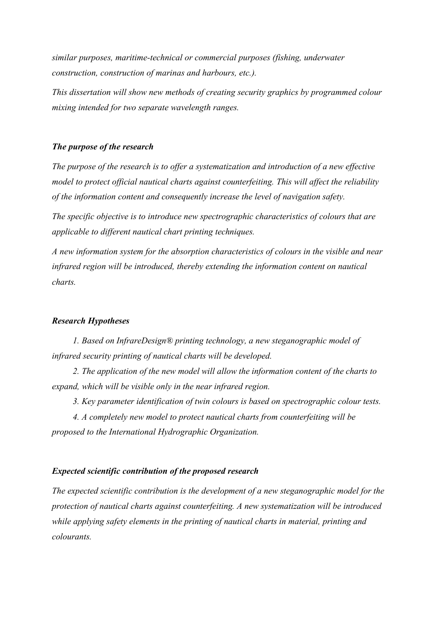*similar purposes, maritime-technical or commercial purposes (fishing, underwater construction, construction of marinas and harbours, etc.).* 

*This dissertation will show new methods of creating security graphics by programmed colour mixing intended for two separate wavelength ranges.*

# *The purpose of the research*

*The purpose of the research is to offer a systematization and introduction of a new effective model to protect official nautical charts against counterfeiting. This will affect the reliability of the information content and consequently increase the level of navigation safety.*

*The specific objective is to introduce new spectrographic characteristics of colours that are applicable to different nautical chart printing techniques.*

*A new information system for the absorption characteristics of colours in the visible and near infrared region will be introduced, thereby extending the information content on nautical charts.*

#### *Research Hypotheses*

*1. Based on InfrareDesign® printing technology, a new steganographic model of infrared security printing of nautical charts will be developed.*

*2. The application of the new model will allow the information content of the charts to expand, which will be visible only in the near infrared region.*

*3. Key parameter identification of twin colours is based on spectrographic colour tests.*

*4. A completely new model to protect nautical charts from counterfeiting will be proposed to the International Hydrographic Organization.*

## *Expected scientific contribution of the proposed research*

*The expected scientific contribution is the development of a new steganographic model for the protection of nautical charts against counterfeiting. A new systematization will be introduced while applying safety elements in the printing of nautical charts in material, printing and colourants.*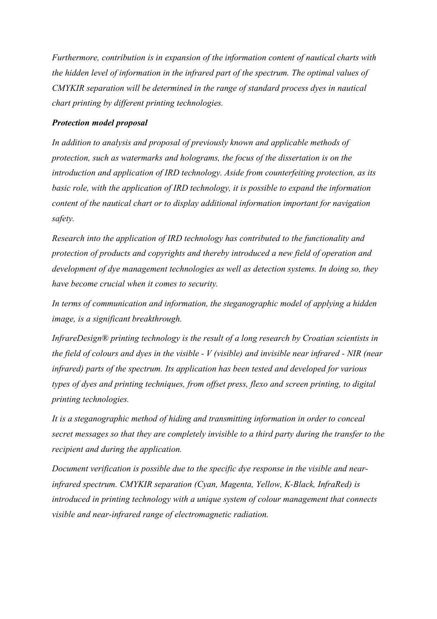*Furthermore, contribution is in expansion of the information content of nautical charts with the hidden level of information in the infrared part of the spectrum. The optimal values of CMYKIR separation will be determined in the range of standard process dyes in nautical chart printing by different printing technologies.*

# *Protection model proposal*

*In addition to analysis and proposal of previously known and applicable methods of protection, such as watermarks and holograms, the focus of the dissertation is on the introduction and application of IRD technology. Aside from counterfeiting protection, as its basic role, with the application of IRD technology, it is possible to expand the information content of the nautical chart or to display additional information important for navigation safety.*

*Research into the application of IRD technology has contributed to the functionality and protection of products and copyrights and thereby introduced a new field of operation and development of dye management technologies as well as detection systems. In doing so, they have become crucial when it comes to security.*

*In terms of communication and information, the steganographic model of applying a hidden image, is a significant breakthrough.*

*InfrareDesign® printing technology is the result of a long research by Croatian scientists in the field of colours and dyes in the visible - V (visible) and invisible near infrared - NIR (near infrared) parts of the spectrum. Its application has been tested and developed for various types of dyes and printing techniques, from offset press, flexo and screen printing, to digital printing technologies.*

*It is a steganographic method of hiding and transmitting information in order to conceal secret messages so that they are completely invisible to a third party during the transfer to the recipient and during the application.*

*Document verification is possible due to the specific dye response in the visible and nearinfrared spectrum. CMYKIR separation (Cyan, Magenta, Yellow, K-Black, InfraRed) is introduced in printing technology with a unique system of colour management that connects visible and near-infrared range of electromagnetic radiation.*